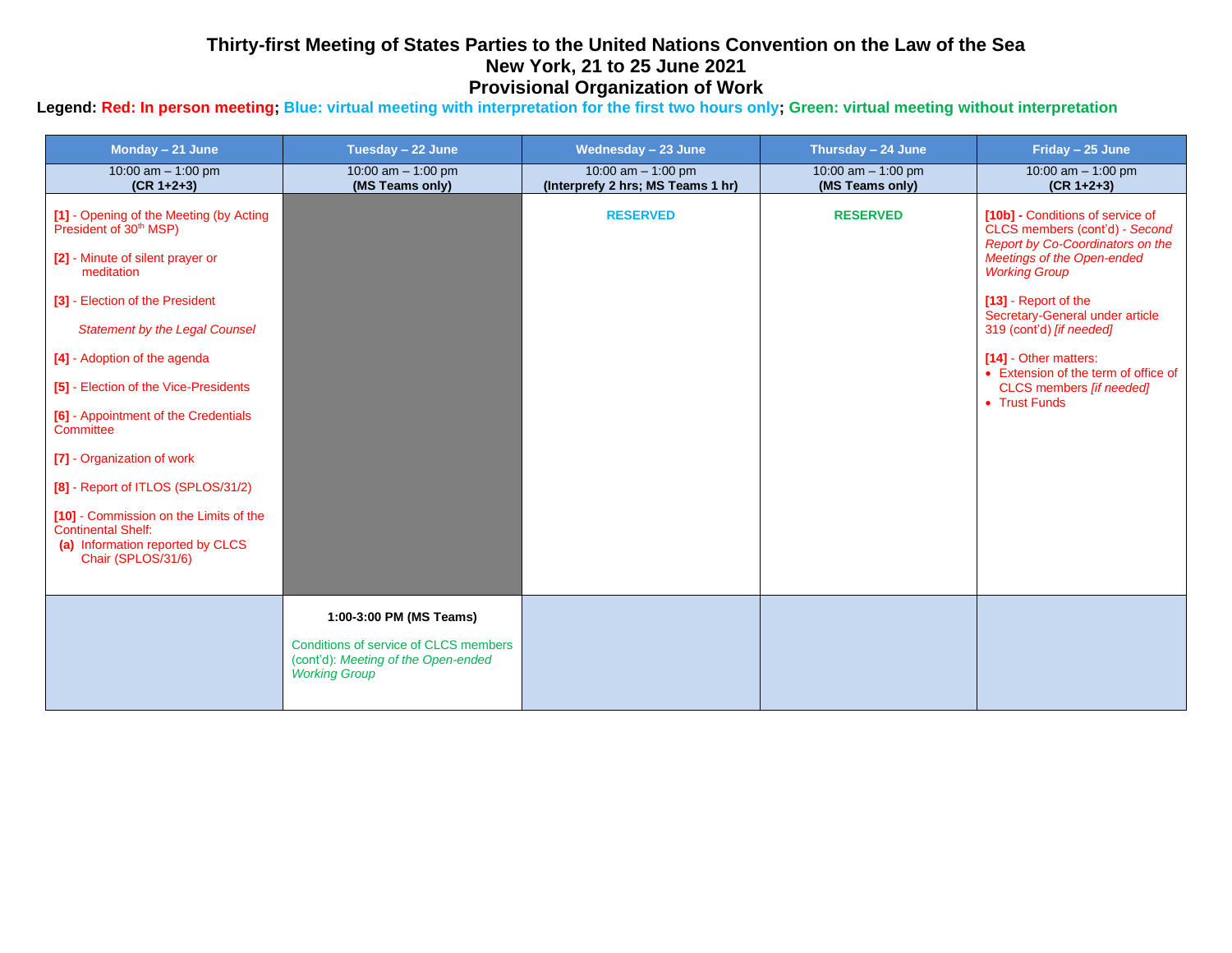## **Thirty-first Meeting of States Parties to the United Nations Convention on the Law of the Sea New York, 21 to 25 June 2021 Provisional Organization of Work**

## **Legend: Red: In person meeting; Blue: virtual meeting with interpretation for the first two hours only; Green: virtual meeting without interpretation**

| Monday - 21 June                                                                                                                                                                                                                                                                                                                                                                                                                                                                                                                               | Tuesday - 22 June                                                                                                               | Wednesday - 23 June                                       | Thursday - 24 June                      | Friday - 25 June                                                                                                                                                                                                                                                                                                                                                  |
|------------------------------------------------------------------------------------------------------------------------------------------------------------------------------------------------------------------------------------------------------------------------------------------------------------------------------------------------------------------------------------------------------------------------------------------------------------------------------------------------------------------------------------------------|---------------------------------------------------------------------------------------------------------------------------------|-----------------------------------------------------------|-----------------------------------------|-------------------------------------------------------------------------------------------------------------------------------------------------------------------------------------------------------------------------------------------------------------------------------------------------------------------------------------------------------------------|
| 10:00 am $-$ 1:00 pm<br>$(CR 1+2+3)$                                                                                                                                                                                                                                                                                                                                                                                                                                                                                                           | 10:00 am $-$ 1:00 pm<br>(MS Teams only)                                                                                         | 10:00 am $-$ 1:00 pm<br>(Interprefy 2 hrs; MS Teams 1 hr) | 10:00 am $-$ 1:00 pm<br>(MS Teams only) | 10:00 am $-$ 1:00 pm<br>$(CR 1+2+3)$                                                                                                                                                                                                                                                                                                                              |
| [1] - Opening of the Meeting (by Acting<br>President of 30 <sup>th</sup> MSP)<br>[2] - Minute of silent prayer or<br>meditation<br>[3] - Election of the President<br><b>Statement by the Legal Counsel</b><br>[4] - Adoption of the agenda<br>[5] - Election of the Vice-Presidents<br>[6] - Appointment of the Credentials<br>Committee<br>[7] - Organization of work<br>[8] - Report of ITLOS (SPLOS/31/2)<br>[10] - Commission on the Limits of the<br><b>Continental Shelf:</b><br>(a) Information reported by CLCS<br>Chair (SPLOS/31/6) |                                                                                                                                 | <b>RESERVED</b>                                           | <b>RESERVED</b>                         | [10b] - Conditions of service of<br>CLCS members (cont'd) - Second<br>Report by Co-Coordinators on the<br>Meetings of the Open-ended<br><b>Working Group</b><br>[13] - Report of the<br>Secretary-General under article<br>319 (cont'd) [if needed]<br>[14] - Other matters:<br>• Extension of the term of office of<br>CLCS members [if needed]<br>• Trust Funds |
|                                                                                                                                                                                                                                                                                                                                                                                                                                                                                                                                                | 1:00-3:00 PM (MS Teams)<br>Conditions of service of CLCS members<br>(cont'd): Meeting of the Open-ended<br><b>Working Group</b> |                                                           |                                         |                                                                                                                                                                                                                                                                                                                                                                   |